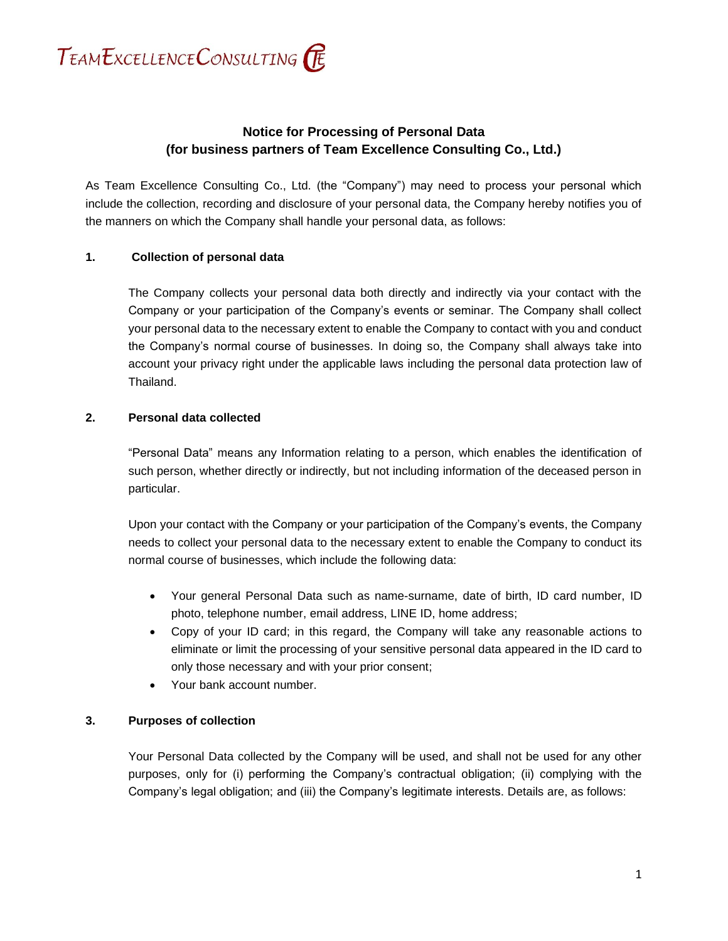

# **Notice for Processing of Personal Data (for business partners of Team Excellence Consulting Co., Ltd.)**

As Team Excellence Consulting Co., Ltd. (the "Company") may need to process your personal which include the collection, recording and disclosure of your personal data, the Company hereby notifies you of the manners on which the Company shall handle your personal data, as follows:

### **1. Collection of personal data**

The Company collects your personal data both directly and indirectly via your contact with the Company or your participation of the Company's events or seminar. The Company shall collect your personal data to the necessary extent to enable the Company to contact with you and conduct the Company's normal course of businesses. In doing so, the Company shall always take into account your privacy right under the applicable laws including the personal data protection law of Thailand.

### **2. Personal data collected**

"Personal Data" means any Information relating to a person, which enables the identification of such person, whether directly or indirectly, but not including information of the deceased person in particular.

Upon your contact with the Company or your participation of the Company's events, the Company needs to collect your personal data to the necessary extent to enable the Company to conduct its normal course of businesses, which include the following data:

- Your general Personal Data such as name-surname, date of birth, ID card number, ID photo, telephone number, email address, LINE ID, home address;
- Copy of your ID card; in this regard, the Company will take any reasonable actions to eliminate or limit the processing of your sensitive personal data appeared in the ID card to only those necessary and with your prior consent;
- Your bank account number.

### **3. Purposes of collection**

Your Personal Data collected by the Company will be used, and shall not be used for any other purposes, only for (i) performing the Company's contractual obligation; (ii) complying with the Company's legal obligation; and (iii) the Company's legitimate interests. Details are, as follows: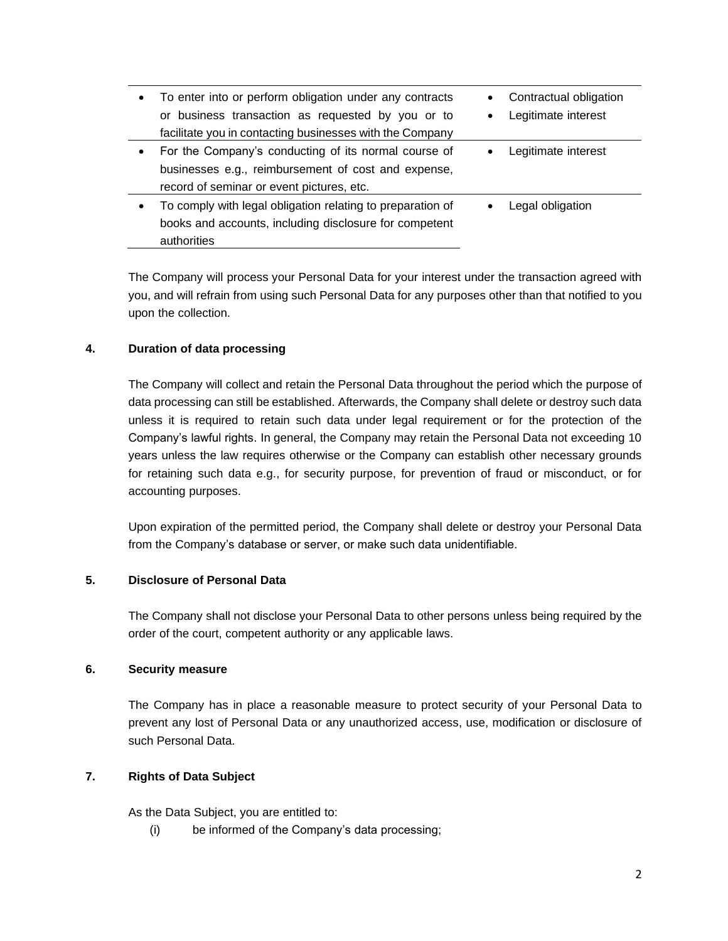| $\bullet$ | To enter into or perform obligation under any contracts    |           | Contractual obligation |  |
|-----------|------------------------------------------------------------|-----------|------------------------|--|
|           | or business transaction as requested by you or to          | $\bullet$ | Legitimate interest    |  |
|           | facilitate you in contacting businesses with the Company   |           |                        |  |
| $\bullet$ | For the Company's conducting of its normal course of       |           | Legitimate interest    |  |
|           | businesses e.g., reimbursement of cost and expense,        |           |                        |  |
|           | record of seminar or event pictures, etc.                  |           |                        |  |
| $\bullet$ | To comply with legal obligation relating to preparation of |           | Legal obligation       |  |
|           | books and accounts, including disclosure for competent     |           |                        |  |
|           | authorities                                                |           |                        |  |

The Company will process your Personal Data for your interest under the transaction agreed with you, and will refrain from using such Personal Data for any purposes other than that notified to you upon the collection.

## **4. Duration of data processing**

The Company will collect and retain the Personal Data throughout the period which the purpose of data processing can still be established. Afterwards, the Company shall delete or destroy such data unless it is required to retain such data under legal requirement or for the protection of the Company's lawful rights. In general, the Company may retain the Personal Data not exceeding 10 years unless the law requires otherwise or the Company can establish other necessary grounds for retaining such data e.g., for security purpose, for prevention of fraud or misconduct, or for accounting purposes.

Upon expiration of the permitted period, the Company shall delete or destroy your Personal Data from the Company's database or server, or make such data unidentifiable.

### **5. Disclosure of Personal Data**

The Company shall not disclose your Personal Data to other persons unless being required by the order of the court, competent authority or any applicable laws.

### **6. Security measure**

The Company has in place a reasonable measure to protect security of your Personal Data to prevent any lost of Personal Data or any unauthorized access, use, modification or disclosure of such Personal Data.

### **7. Rights of Data Subject**

As the Data Subject, you are entitled to:

(i) be informed of the Company's data processing;